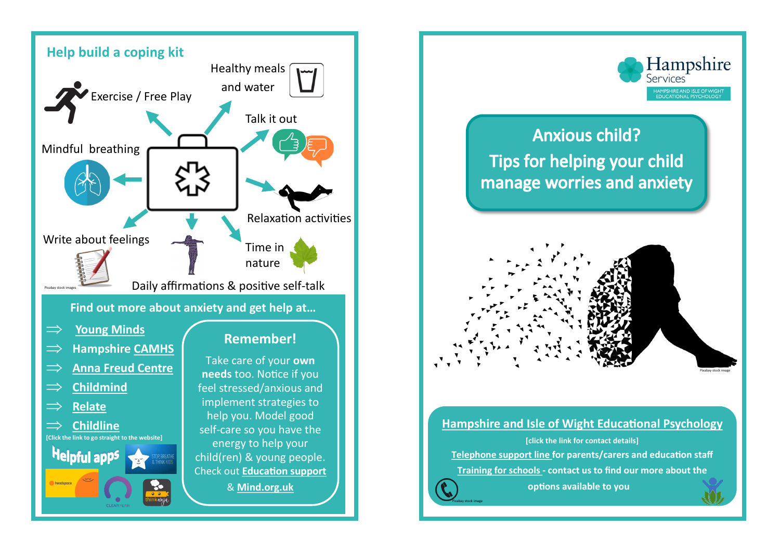



## **[Hampshire and Isle of Wight Educational Psychology](https://www.hants.gov.uk/educationandlearning/educationalpsychology/contactus)**

**[click the link for contact details] Telephone [support](https://www.hants.gov.uk/educationandlearning/educationalpsychology/contactus) line for parents/carers and education staff [Training for schools](https://www.hants.gov.uk/educationandlearning/educationalpsychology/training) - contact us to find our more about the** 

Pixabay stock image

**options available to you**